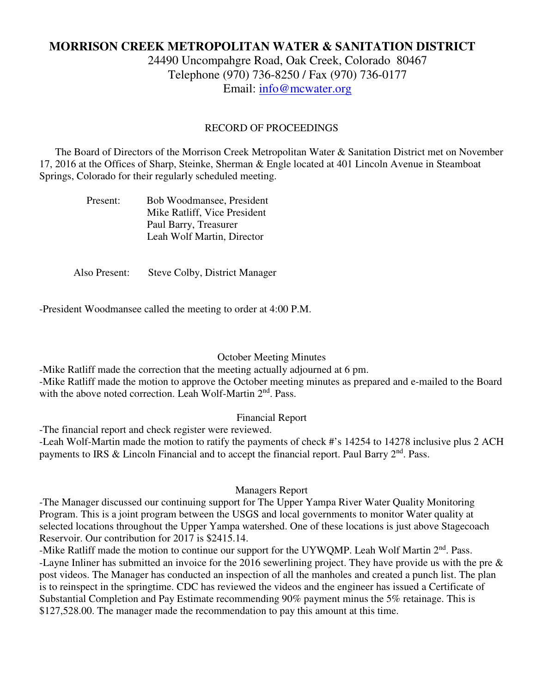# **MORRISON CREEK METROPOLITAN WATER & SANITATION DISTRICT**

24490 Uncompahgre Road, Oak Creek, Colorado 80467 Telephone (970) 736-8250 / Fax (970) 736-0177 Email: info@mcwater.org

## RECORD OF PROCEEDINGS

 The Board of Directors of the Morrison Creek Metropolitan Water & Sanitation District met on November 17, 2016 at the Offices of Sharp, Steinke, Sherman & Engle located at 401 Lincoln Avenue in Steamboat Springs, Colorado for their regularly scheduled meeting.

| Present: | Bob Woodmansee, President    |
|----------|------------------------------|
|          | Mike Ratliff, Vice President |
|          | Paul Barry, Treasurer        |
|          | Leah Wolf Martin, Director   |

Also Present: Steve Colby, District Manager

-President Woodmansee called the meeting to order at 4:00 P.M.

### October Meeting Minutes

-Mike Ratliff made the correction that the meeting actually adjourned at 6 pm.

-Mike Ratliff made the motion to approve the October meeting minutes as prepared and e-mailed to the Board with the above noted correction. Leah Wolf-Martin 2<sup>nd</sup>. Pass.

## Financial Report

-The financial report and check register were reviewed.

-Leah Wolf-Martin made the motion to ratify the payments of check #'s 14254 to 14278 inclusive plus 2 ACH payments to IRS & Lincoln Financial and to accept the financial report. Paul Barry  $2<sup>nd</sup>$ . Pass.

### Managers Report

-The Manager discussed our continuing support for The Upper Yampa River Water Quality Monitoring Program. This is a joint program between the USGS and local governments to monitor Water quality at selected locations throughout the Upper Yampa watershed. One of these locations is just above Stagecoach Reservoir. Our contribution for 2017 is \$2415.14.

-Mike Ratliff made the motion to continue our support for the UYWQMP. Leah Wolf Martin 2<sup>nd</sup>. Pass. -Layne Inliner has submitted an invoice for the 2016 sewerlining project. They have provide us with the pre & post videos. The Manager has conducted an inspection of all the manholes and created a punch list. The plan is to reinspect in the springtime. CDC has reviewed the videos and the engineer has issued a Certificate of Substantial Completion and Pay Estimate recommending 90% payment minus the 5% retainage. This is \$127,528.00. The manager made the recommendation to pay this amount at this time.